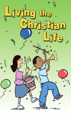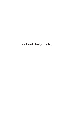## This book belongs to:

\_\_\_\_\_\_\_\_\_\_\_\_\_\_\_\_\_\_\_\_\_\_\_\_\_\_\_\_\_\_\_\_\_\_\_\_\_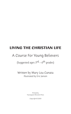# **LIVING THE CHRISTIAN LIFE**

## A Course For Young Believers

(Suggested ages  $3^{rd}$  – 6<sup>th</sup> grades)

Written by Mary Lou Canata Illustrated by Eric Jansen

> Printed by Foursquare Missions Press

> > Copyright © 2003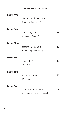#### **TABLE OF CONTENTS**

| Lesson One          |                                   |    |
|---------------------|-----------------------------------|----|
|                     | I Am A Christian-Now What?        | 6  |
|                     | (Growing In God's Family)         |    |
| <b>Lesson Two</b>   |                                   |    |
|                     | Living For Jesus                  | 11 |
|                     | (The Daily Christian Life)        |    |
| <b>Lesson Three</b> |                                   |    |
|                     | Reading About Jesus               | 15 |
|                     | (Bible Reading And Studying)      |    |
| <b>Lesson Four</b>  |                                   |    |
|                     | Talking To God                    | 19 |
|                     | (Prayer Life)                     |    |
| <b>Lesson Five</b>  |                                   |    |
|                     | A Place Of Worship                | 23 |
|                     | (Church Life)                     |    |
| <b>Lesson Six</b>   |                                   |    |
|                     | Telling Others About Jesus        | 28 |
|                     | (Witnessing To Others/Evangelism) |    |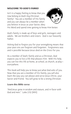## **WELCOME TO GOD'S FAMILY**

Isn't it a happy feeling to know that you now belong to God's big Christian family? You are a member of His family and you can always be a member when you believe in Jesus as your Savior, obey



His Word and spend time getting to know Him better.

God's family is made up of boys and girls, teenagers and adults. We are brothers and sisters. God is our heavenly Father.

Asking God to forgive you for your wrongdoing means that your past sins are forgiven and forgotten. Forgiveness was and is possible because Jesus died on the Cross for you.

As a member of God's family and as a Christian, God expects you to live a life that pleases Him. With His help, you can live this life at home, at school, at church, at play everywhere.

This book will help you to know just what God asks of you. Now that you are a member of His family, you will also learn the way you can please and serve Jesus Christ, your Savior and Friend. You will grow to be a strong Christian.

#### Learn this Bible verse:

"And Jesus grew in wisdom and stature, and in favor with God and men." Luke 2:52 (NIV)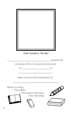

Draw Yourself In This Box!

|                                             |                                               | s accepted the |
|---------------------------------------------|-----------------------------------------------|----------------|
| Lord Jesus Christ as my own personal Savior |                                               |                |
| on                                          |                                               | at             |
|                                             |                                               |                |
| Name of person who prayed with me:          |                                               |                |
| Before you begin<br>Find a Bible            |                                               |                |
|                                             | Find a pencil and eraser<br>Find a dictionary |                |
|                                             |                                               |                |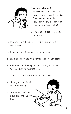

## *How to use this book…*

1. Use this book along with your Bible. Scriptures have been taken from the New International Version (NIV) and the New King James Version Bibles (NKJV)

2. Pray and ask God to help you do your best.

- 3. Take your time. Read each lesson first, then do the worksheets.
- 4. Read each question and write in the answer.
- 5. Learn and know the Bible verses given in each lesson.
- 6. When the book is completed, give it to your teacher. Your book will be returned to you.
- 7. Keep your book for future reading and review.
- 8. Share your completed book with friends.
- 9. Continue to read your Bible, pray and live for Jesus.

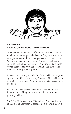

## **Lesson One I AM A CHRISTIAN—NOW WHAT?**

Some people are never sure if they are a Christian, but you can be sure. When you asked God to forgive you for your wrongdoing and told Jesus that you wanted Him to be your Savior, you became a born-again Christian which is the same as becoming a member of His family. God did these things because He promised He would. God cannot lie! Read about His promise (John 1:12).

Now that you belong to God's family, you will want to grow spiritually and become a strong Christian. This will happen if you learn from God's Word and do what God asks of you, His child.

God is not always pleased with what we do but He still loves us and will help us to do that which is right and pleasing to Him.

"Sin" is another word for disobedience. When we sin, we still belong to God's family because God is always ready to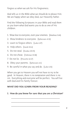forgive us when we ask for His forgiveness.

God tells us in the Bible what we should do to please Him. We are happy when we obey God, our Heavenly Father.

Find the following Scriptures in your Bible and read them as you learn what God wants you to do as one of His children.

- 1. Show love to everyone, even your enemies. (Matthew 5:44)
- 2. Show kindness to everyone. (Ephesians 4:32)
- 3. Learn to forgive others. (Luke 6:37)
- 4. Help others. (Isaiah 41:6)
- 5. Do not steal. (Exodus 20:15)
- 6. Do not cheat. (Hebrews 13:18)
- 7. Do not lie. (Proverbs 12:17)
- 8. Obey your parents. (Ephesians 6:1)
- 9. Be careful in what you say and do. (Luke 6:31)

When you get to Heaven you will not have to try to be good. In Heaven, there is no temptation and there is no sin. Everything and everyone will be perfect. You will live with God and His family forever.

#### WHAT DID YOU LEARN FROM YOUR READING?

1. How do you know for sure that you are a Christian?

\_\_\_\_\_\_\_\_\_\_\_\_\_\_\_\_\_\_\_\_\_\_\_\_\_\_\_\_\_\_\_\_\_\_\_\_\_\_\_\_\_

\_\_\_\_\_\_\_\_\_\_\_\_\_\_\_\_\_\_\_\_\_\_\_\_\_\_\_\_\_\_\_\_\_\_\_\_\_\_\_\_\_

\_\_\_\_\_\_\_\_\_\_\_\_\_\_\_\_\_\_\_\_\_\_\_\_\_\_\_\_\_\_\_\_\_\_\_\_\_\_\_\_\_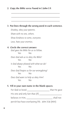#### 2. Copy the Bible verse found in 1 John 1:9.

\_\_\_\_\_\_\_\_\_\_\_\_\_\_\_\_\_\_\_\_\_\_\_\_\_\_\_\_\_\_\_\_\_\_\_\_\_\_\_\_\_

\_\_\_\_\_\_\_\_\_\_\_\_\_\_\_\_\_\_\_\_\_\_\_\_\_\_\_\_\_\_\_\_\_\_\_\_\_\_\_\_\_

\_\_\_\_\_\_\_\_\_\_\_\_\_\_\_\_\_\_\_\_\_\_\_\_\_\_\_\_\_\_\_\_\_\_\_\_\_\_\_\_\_

## 3. Put lines through the wrong word in each sentence. *Disobey, obey your parents. Share with no one, others. Show kindness to some, everyone. Love, hate your enemies.* 4. Circle the correct answer. *God gave the Bible for us to follow.* Yes No *Does God ask us to obey the Bible?* Yes No *Is God always pleased with what we do?* Yes No *Does God forgive us for our wrongdoing?* Yes No *Does God want to help us obey Him?* Yes No

### 5. Fill in your own name in the blank spaces.

| For God so loved                                  | that He gave |
|---------------------------------------------------|--------------|
| His one and only Son that (if)                    |              |
| believes in Him,                                  | shall not    |
| perish but have everlasting life. John 3:16 (NIV) |              |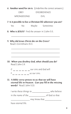6. Another word for sin is: (Underline the correct answers.)

OBEY DISOBEDIENCE

WRONGDOING EVIL

7. Is it possible to live a Christian life wherever you are?

\_\_\_\_\_\_\_\_\_\_\_\_\_\_\_\_\_\_\_\_\_\_\_\_\_\_\_\_\_\_\_\_\_\_\_\_\_\_\_\_\_

\_\_\_\_\_\_\_\_\_\_\_\_\_\_\_\_\_\_\_\_\_\_\_\_\_\_\_\_\_\_\_\_\_\_\_\_\_\_\_\_\_

\_\_\_\_\_\_\_\_\_\_\_\_\_\_\_\_\_\_\_\_\_\_\_\_\_\_\_\_\_\_\_\_\_\_\_\_\_\_\_\_\_

\_\_\_\_\_\_\_\_\_\_\_\_\_\_\_\_\_\_\_\_\_\_\_\_\_\_\_\_\_\_\_\_\_\_\_\_\_\_\_\_\_

Yes No Maybe Sometimes

- 8. Who is JESUS? Find the answer in 1 John 5:5.
- 9. Why did Jesus Christ die on the Cross? Read 1 Corinthians 15:3.

- 10. When you disobey God, what should you do? Read 1 John 1:9.
	- $C_$   $\_\_$   $\_\_$   $\_\_$   $\_\_$   $\_\_$  our sins and God will

F \_ \_ \_ \_ \_ \_ us our sins.

11. A Bible verse proves to us that we will have eternal life in Heaven. Can you fill in the missing words? Read 1 John 5:13.

| I write these things to |  | who believe    |
|-------------------------|--|----------------|
| in the name of the      |  | of God so that |
|                         |  |                |

 $\max$  know that

have eternal life.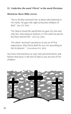#### 12. Underline the word "Christ" in the word Christian.

#### Memorize these Bible verses.

"Yet to all who received Him, to those who believed in His name, He gave the right to become children of God." John 1:12 (NIV)

"For God so loved the world that He gave His one and only Son, that whoever believes in Him shall not perish but have eternal life." John 3:16 (NIV)

"For what I received I passed on to you as of first importance: that Christ died for our sins according to the Scriptures." 1 Corinthians 15:3 (NIV)

You have received Jesus as your own personal Savior and believe that Jesus is the Son of God so you are one of His children.

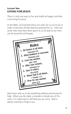## **Lesson Two LIVING FOR JESUS**

There is only one way to live and really be happy, and that is by living for Jesus.

In the Bible, we find that there are rules for us to live by in order to become all that God has planned for us. Here are some rules that have been given to us by God so our lives can be peaceful and happy.



God never asks us to do something without promising His help. When you do make a mistake or break one of His rules, it is important to tell God you are sorry. God is always waiting to forgive you.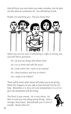God still loves you even when you make mistakes, but He does not like what we sometimes do. You still belong to God.

People are watching you. Did you know this?



When you are not sure if something is right or wrong, ask yourself these questions:

*Do I do and say things that please God? Do I try to think and talk like Jesus? Do I treat others like I want to be treated? Do I show kindness and love to others? Am I ready to be helpful?*

There will be times when Satan will tempt you to do wrong. When this happens to you, talk to God and ask Him for His help. Remember, it is not a sin to be tempted but it is a sin to give into temptation and do wrong.

The Devil is your enemy. He is very clever. He likes to trick you into doing wrong things. God is stronger than Satan. God will help you in time of trouble. Read 1 John 4:4.

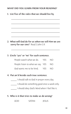#### WHAT DID YOU LEARN FROM YOUR READING?

\_\_\_\_\_\_\_\_\_\_\_\_\_\_\_\_\_\_\_\_\_\_\_\_\_\_\_\_\_\_\_\_\_\_\_\_\_\_\_\_\_

\_\_\_\_\_\_\_\_\_\_\_\_\_\_\_\_\_\_\_\_\_\_\_\_\_\_\_\_\_\_\_\_\_\_\_\_\_\_\_\_\_

\_\_\_\_\_\_\_\_\_\_\_\_\_\_\_\_\_\_\_\_\_\_\_\_\_\_\_\_\_\_\_\_\_\_\_\_\_\_\_\_\_

\_\_\_\_\_\_\_\_\_\_\_\_\_\_\_\_\_\_\_\_\_\_\_\_\_\_\_\_\_\_\_\_\_\_\_\_\_\_\_\_\_

\_\_\_\_\_\_\_\_\_\_\_\_\_\_\_\_\_\_\_\_\_\_\_\_\_\_\_\_\_\_\_\_\_\_\_\_\_\_\_\_\_

\_\_\_\_\_\_\_\_\_\_\_\_\_\_\_\_\_\_\_\_\_\_\_\_\_\_\_\_\_\_\_\_\_\_\_\_\_\_\_\_\_

1. List five of the rules that we should live by.

2. What will God do for us when we tell Him we are sorry for our sins? Read 1 John 1:9.

#### 3. Circle "yes" or "no" for each sentence.

| People watch what we do.          | yes no |
|-----------------------------------|--------|
| People listen to what we say. YES | NO.    |
| God wants me to be kind. YES      | NO.    |

#### 4. Put an X beside each true sentence.

- \_\_\_\_\_ I should talk to God in prayer every day.
- \_\_\_\_\_ I should do something good once a week only.
- \_\_\_\_\_ I should obey God's Word when I feel like it.

#### 5. Who is it that tries to make us do wrong?

GOD SATAN JESUS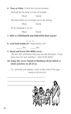6. True or False Circle the correct answer.

God will be my help in time of trouble.

TRUE FALSE

The devil does try to tempt me to do wrong.

TRUE FALSE

To be tempted is to sin.

TRUE FALSE

7. Who is STRONGER and GREATER than Satan?

8. Can God tempt us? Read James 1:13.

 $\overline{\phantom{a}}$   $\overline{\phantom{a}}$   $\overline{\phantom{a}}$   $\overline{\phantom{a}}$   $\overline{\phantom{a}}$ 

\_\_\_\_\_ Yes \_\_\_\_\_No

9. Read and learn this Bible verse.

\_\_\_\_\_\_\_\_\_\_\_\_\_\_\_\_\_\_\_\_\_\_\_\_\_\_\_\_\_\_\_\_

"By this ALL will know that you are My disciples, if you have love for one another." John 13:35 (NIV)

#### 10. Copy the verse found in Matthew 28:20 which is God's promise to all of us.

"Lo I am with you always, even to the end of the age." Matthew 28:20b (NIV)

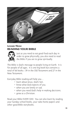

## **Lesson Three READING YOUR BIBLE**



Just as you need to eat good food each day in order to grow physically, you also need to read the Bible if you are to grow spiritually.

The Bible is God's message to people living on Earth. It is for people of all ages. It is one big book but contains a total of 66 books— 39 in the Old Testament and 27 in the New Testament.

Everyday Bible reading will help you…

- learn about Jesus, God's Son.
- know what God expects of you.
- when you are lonely or sad.
- when you need God's help in making decisions.
- grow as a Christian.

Read your Bible EVERY DAY. You can also learn by reading your Sunday school books, your take-home papers and other good Bible storybooks.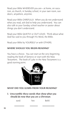Read your Bible WHEREVER you are— at home, on vacation, at church, in Sunday school, in your own room, outdoors, anywhere, anytime.

Read your Bible CAREFULLY. When you do not understand what you read, ask God to help you understand. You can also talk to your Sunday school teacher or pastor about things you don't understand.

Read your Bible QUIETLY or OUT LOUD. Think about what God has said to you through His Word, the Bible.

Read your Bible by YOURSELF or with OTHERS.

### WHERE SHOULD YOU BEGIN READING?

You have a choice. You can start at the very beginning reading the book of Genesis or start with the New Testament. The book of Luke in the New Testament is a good starting point.



#### WHAT DID YOU LEARN FROM YOUR READING?

1. Unscramble these words that show what you should do now that you are a Christian.

| eard | het | Bebli |  |
|------|-----|-------|--|
|      |     |       |  |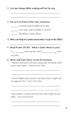2. List two things Bible reading will do for you.

\_\_\_\_\_\_\_\_\_\_\_\_\_\_\_\_\_\_\_\_\_\_\_\_\_\_\_\_\_\_\_\_\_\_\_\_\_\_\_\_\_\_

\_\_\_\_\_\_\_\_\_\_\_\_\_\_\_\_\_\_\_\_\_\_\_\_\_\_\_\_\_\_\_\_\_\_\_\_\_\_\_\_\_\_

#### 3. Put an X in front of the true sentences.

- \_\_\_\_\_\_ I should read my Bible every day.
- \_\_\_\_\_\_ I can only read my Bible in church.

The Bible is God's Word.

#### 4. Who can help me understand what I read in the Bible?

\_\_\_\_\_\_\_\_\_\_\_\_\_\_\_\_\_\_\_\_\_\_\_\_\_\_\_\_\_\_\_\_\_\_\_\_\_\_\_\_\_\_

5. Read Psalm 119:105. What is God's Word to you?

 $A_ -$  \_ \_ \_ unto my feet and a \_ \_ \_ \_ \_ unto my path.

#### 6. Write and learn these verses by memory:

"Heaven and Earth will pass away, but my words shall never pass away." Matthew 24:35 (NIV)

\_\_\_\_\_\_\_\_\_\_\_\_\_\_\_\_\_\_\_\_\_\_\_\_\_\_\_\_\_\_\_\_\_\_\_\_\_\_\_\_\_

\_\_\_\_\_\_\_\_\_\_\_\_\_\_\_\_\_\_\_\_\_\_\_\_\_\_\_\_\_\_\_\_\_\_\_\_\_\_\_\_\_

"I have hidden Your word in my heart that I might not sin against You." Psalm 119:11 (NIV)

\_\_\_\_\_\_\_\_\_\_\_\_\_\_\_\_\_\_\_\_\_\_\_\_\_\_\_\_\_\_\_\_\_\_\_\_\_\_\_\_\_

\_\_\_\_\_\_\_\_\_\_\_\_\_\_\_\_\_\_\_\_\_\_\_\_\_\_\_\_\_\_\_\_\_\_\_\_\_\_\_\_\_

"Your word is a lamp unto my feet and a light for my path." Psalm 119:105 (NIV)

\_\_\_\_\_\_\_\_\_\_\_\_\_\_\_\_\_\_\_\_\_\_\_\_\_\_\_\_\_\_\_\_\_\_\_\_\_\_\_\_\_

\_\_\_\_\_\_\_\_\_\_\_\_\_\_\_\_\_\_\_\_\_\_\_\_\_\_\_\_\_\_\_\_\_\_\_\_\_\_\_\_\_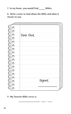7. In my home, you would find Bibles.

8. Write a note to God about the Bible and what it means to you.

| Dear God, |
|-----------|
|           |
|           |
|           |
|           |
|           |
|           |
|           |
|           |
|           |
|           |
| Signed,   |
|           |
|           |
|           |

\_\_\_\_\_\_\_\_\_\_\_\_\_\_\_\_\_\_ \_\_\_\_ : \_\_\_\_

#### 9. My favorite Bible verse is: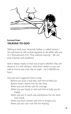

## **Lesson Four TALKING TO GOD**

Talking to God, your Heavenly Father, is called "prayer." You will want to talk to God regularly as the Bible tells you in 1 Thessalonians 5:17, "Pray without ceasing." We can pray anytime and anywhere.

God is always ready to hear our prayers whether they are aloud or in a soft whisper. God never sleeps so you can talk to Him at any time, day or night. He is NEVER too busy.

*Here are some suggested times to pray:*

- Before you start a new day—ask Him to help you.
- Before meals—thank Him for the food.
- When you are afraid—ask for courage.
- When you are lonely or sad—ask Him to help you be happy.
- When you are in need—ask and believe He can meet your need.
- When you have sinned—ask Him to forgive you.
- When you are sick—ask Him for healing.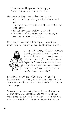When you need help-ask him to help you. Before bedtime—ask Him for protection.

*Here are some things to remember when you pray:*

- Thank Him for something special He has done for you.
- Remember your family, friends, church, pastors and missionaries.
- Tell God about your problems and needs.
- At the close of your prayer, say these words, "In Jesus' name." (See John 14:13,14.)

Jesus taught His disciples how to pray. In Matthew chapter 6:9-13, He gives an example of a model prayer—



*Our Father in Heaven, hallowed be Your name. Your kingdom come. Your will be done on Earth as it is in Heaven. Give us this day our daily bread. And forgive us our debts, as we forgive our debtors. And do not lead us into temptation, but deliver us from the evil one. For Yours is the kingdom and the power and the glory forever. Amen. (NKJV)*

Sometimes you will pray with other people but it is important that you have your own private time with God. Talk to Him just like you would talk to a friend beside you. This is prayer.

You can pray in your own room, in the car, at school, at church, anywhere. Sometimes you can kneel while at other times you can just close your eyes. In church, you may stand or gather in a circle to hold hands and pray.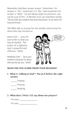Remember, God does answer prayer. Sometimes, His answer is "Yes," sometimes it is "No," and sometimes His answer is "Wait." He will always keep His promises, you can be sure of this. In Romans 4:21, we read these words: "being fully persuaded that God had power to do what He had promised."

The Bible tells us to pray for one another and to pray for those who may mistreat us.

James 5:16 "…pray for each other so that you may be healed. The prayer of a righteous man is powerful and effective." (NIV)

Matthew 5:44 "…love your enemies and pray for those who persecute you." (NIV)



#### WHAT DID YOU LEARN FROM YOUR READING?

1. What is "talking to God"? Put an X before the right answer.

\_\_\_\_\_ Singing

Praying

Reading

#### 2. What does 1 Peter 3:12 say about our prayers?

| His eyes |  |
|----------|--|
| His ears |  |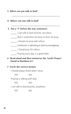#### 3. When can you talk to God?

#### 4. Where can you talk to God?

#### 5. Put a "T" before the true sentences.

- \_\_\_\_\_ I can talk to God anytime, any place.
- \_\_\_\_\_ God is sometimes too busy to hear me pray.

\_\_\_\_\_\_\_\_\_\_\_\_\_\_\_\_\_\_\_\_\_\_\_\_\_\_\_\_\_\_\_\_\_\_\_\_\_\_\_\_\_

\_\_\_\_\_\_\_\_\_\_\_\_\_\_\_\_\_\_\_\_\_\_\_\_\_\_\_\_\_\_\_\_\_\_\_\_\_\_\_\_\_

- I should not pray with others.
- Confession is admitting to God my wrongdoing.
- \_\_\_\_\_ I should pray for others.
- Praying every day is a good habit.

#### 6. Read aloud and then memorize the "Lord's Prayer" found in Matthew 6:9.

#### 7. Circle the correct answer.

I should always kneel when I pray. YES NO Praying is talking with God. YES NO I can talk to God anytime, anywhere. YES NO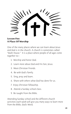$\frac{1}{2}$ 

**Lesson Five A Place Of Worship**

One of the many places where we can learn about Jesus and God is in the church. A church is sometimes called "God's house." It is a place where people of all ages come together to—

- 1. Worship and honor God.
- 2. Learn more about God and His Son, Jesus.
- 3. Meet Christian friends.
- 4. Be with God's family.
- 5. Sing, pray and learn.
- 6. Share with others what God has done for us.
- 7. Enjoy Christian fellowship.
- 8. Attend a Sunday school class.
- 9. Be taught from the Bible.

Attending Sunday school and the different church activities each week will give you many ways to learn more from the Bible, God's Word.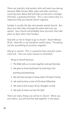There are teachers and workers who will teach you during Vacation Bible School, Bible clubs and other activities. Learning more about God will help you become a stronger Christian, a growing Christian. This is one reason why it is important that you attend church regularly.

Sunday is usually the day most people attend church. But there are other days through the week when we can attend. Your church will probably have activities that take place on days other than Sunday.

God tells us not to forget to go to church. Read Hebrews 10:25. God tells us we should be careful about "forsaking not the assembling of ourselves together."

*Why go to church?* This is a question boys and girls sometimes ask. Here are some reasons to remember.

We go to church because:

- 1. The Bible tells us to come together and worship God.
- 2. We grow to know God better by listening to the teaching and preaching.
- 3. We will meet and get to know other Christian friends.
- 4. We need to have a time of Christian fellowship.
- 5. We need a time to give all our thoughts to God.
- 6. We want to share our love for God.

There are many things you will do in church. When you join others, you will worship God together in one place.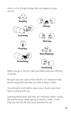Here is a list of eight things that can happen at your church.



When you go to church, take your Bible and your offering of money.

Because you are a part of the church, it is important that you be respectful and that you help to keep it clean.

You will want to tell others about your church and invite them to attend with you.

Learning about Jesus and God, our Heavenly Father, can be fun and exciting. Make going to church a habit. It will help you live the life that Jesus planned for you.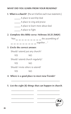#### WHAT DID YOU LEARN FROM YOUR READING?

\_\_\_\_\_ A place to worship God

1. What is a church? (Put an X before each true statement.)

|            | A place to sing and praise                                     |
|------------|----------------------------------------------------------------|
|            | A place to learn more about God                                |
|            | A place to fight                                               |
|            | 2. Complete this Bible verse: Hebrews 10:25 (NKJV)             |
|            | the assembling of<br>$^{\prime\prime}$ Not __ __ _ _ _ _ _ _ _ |
|            | $- - - - - -$ together"                                        |
|            | 3. Circle the correct answer.                                  |
|            | Should I attend just any church?                               |
| <b>YES</b> | ΝO                                                             |
|            | Should I attend church reqularly?                              |
| <b>YES</b> | ΝO                                                             |
|            | Should I invite others to attend?                              |
| YFS        | NΟ                                                             |
|            |                                                                |

- 4. Where is a good place to meet new friends?
- 5. List the eight (8) things that can happen in church.

\_\_\_\_\_\_\_\_\_\_\_\_\_\_\_\_\_\_\_ \_\_\_\_\_\_\_\_\_\_\_\_\_\_\_\_\_\_\_

\_\_\_\_\_\_\_\_\_\_\_\_\_\_\_\_\_\_\_ \_\_\_\_\_\_\_\_\_\_\_\_\_\_\_\_\_\_\_

\_\_\_\_\_\_\_\_\_\_\_\_\_\_\_\_\_\_\_\_\_\_\_\_\_\_\_\_\_\_\_\_\_\_\_\_\_\_\_\_\_

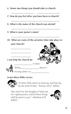- 6. Name two things you should take to church.
- 7. How do you feel after you have been in church?

\_\_\_\_\_\_\_\_\_\_\_\_\_\_\_\_\_\_\_ \_\_\_\_\_\_\_\_\_\_\_\_\_\_\_\_\_\_\_

\_\_\_\_\_\_\_\_\_\_\_\_\_\_\_\_\_\_\_\_\_\_\_\_\_\_\_\_\_\_\_\_\_\_\_\_\_\_\_\_\_

\_\_\_\_\_\_\_\_\_\_\_\_\_\_\_\_\_\_\_\_\_\_\_\_\_\_\_\_\_\_\_\_\_\_\_\_\_\_\_\_\_

\_\_\_\_\_\_\_\_\_\_\_\_\_\_\_\_\_\_\_\_\_\_\_\_\_\_\_\_\_\_\_\_\_\_\_\_\_\_\_\_\_

- 8. What is the name of the church you attend?
- 9. What is your pastor's name?
- 10. What are some of the activities that take place in your church?



\_\_\_\_\_\_\_\_\_\_\_\_\_\_\_\_\_

\_\_\_\_\_\_\_\_\_\_\_\_\_\_\_\_\_

\_\_\_\_\_\_\_\_\_\_\_\_\_\_\_\_\_





Telling \_\_\_\_\_\_\_\_\_\_\_\_\_\_\_ about it.

Inviting others to

#### Learn these Bible verses:



"So then faith comes by hearing, and hearing by the word of God." Romans 10:17 (NKJV)

"But seek first the kingdom of God and His righteousness, and all these things shall be given to you." Matthew 6:33 (NKJV)

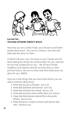

**Lesson Six TELLING OTHERS ABOUT JESUS**

Now that you are a child of God, you will want to tell other people about Jesus. You can be a witness—one who tells what God has done for them.

In Mark 5:19, Jesus said, "Go home to your friends and tell them what great things the Lord has done for you, and how He has had compassion on you." We all have friends, neighbors and relatives who do not know Jesus as their personal Savior. Be sure to share with them what Jesus has done for you. (NKJV)

Here are a few things that you must know before you can talk to someone about Jesus:

- 1. Know that you are a Christian. (John 5:24)
- 2. Know that God loves each person. (John 3:16)
- 3. Know that everyone has sinned. (Romans 3:23)
- 4. Know that everyone must confess their sins to Jesus.
- 5. Know that God promises eternal life to those who believe. (Romans 6:23)
- 6. Know that Jesus is ready to receive each person who asks. (Matthew 21:22)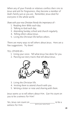When any of your friends or relatives confess their sins to Jesus and ask for forgiveness, they become a member of God's family just as you are. Remember, Jesus died for everyone in the whole world.

*Share with your new Christian friends the importance of—*

- 1. Reading their Bible each day.
- 2. Talking to God each day.
- 3. Attending Sunday school and church regularly.
- 4. Telling others about Jesus.
- 5. Living the Christian life before others.

There are many ways to tell others about Jesus. Here are a few suggestions. Try them!

*TELL OTHERS BY—*

- 1. Using your voice. Tell what Jesus has done for you.
- 2. Passing out story tracts that tell about Jesus.



- 3. Living the Christian life.
- 4. Inviting them to attend church with you.
- 5. Writing a letter or note and sharing with them.

Jesus wants us to tell others about Him. Can He count on you to be a witness for Him?

Yes, Jesus can count on to be a witness for Him. (print your name here)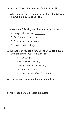#### WHAT DID YOU LEARN FROM YOUR READING?

#### 1. Where do we find the verse in the Bible that tells us that we should go and tell others?

\_\_\_\_\_\_\_\_\_\_\_\_\_\_\_\_\_\_\_\_\_\_\_\_\_\_\_\_\_\_\_\_\_\_\_\_\_\_\_\_\_

#### 2. Answer the following questions with a "Yes" or "No."

- A. Everyone has sinned.
- B. God loves only Christians.
- C. Everyone must confess their sins.
- D. Jesus will always forgive us.

#### 3. What should you tell a new Christian to do? Put an X before each sentence that is right.

- Pray on Sunday only.
- \_\_\_\_\_ Read the Bible each day.
- Attend church on Sunday only.
- \_\_\_\_\_ Tell others about Jesus.
- Live the Christian life before others.

#### 4. List two ways we can tell others about Jesus.

\_\_\_\_\_\_\_\_\_\_\_\_\_\_\_\_\_\_\_\_\_\_\_\_\_\_\_\_\_\_\_\_\_\_\_\_\_\_\_\_\_\_

\_\_\_\_\_\_\_\_\_\_\_\_\_\_\_\_\_\_\_\_\_\_\_\_\_\_\_\_\_\_\_\_\_\_\_\_\_\_\_\_\_\_

\_\_\_\_\_\_\_\_\_\_\_\_\_\_\_\_\_\_\_\_\_\_\_\_\_\_\_\_\_\_\_\_\_\_\_\_\_\_\_\_\_\_

\_\_\_\_\_\_\_\_\_\_\_\_\_\_\_\_\_\_\_\_\_\_\_\_\_\_\_\_\_\_\_\_\_\_\_\_\_\_\_\_\_\_

#### 5. Why should we tell others about Jesus?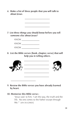6. Make a list of three people that you will talk to about Jesus.

\_\_\_\_\_\_\_\_\_\_\_\_\_\_\_\_\_\_\_\_\_

\_\_\_\_\_\_\_\_\_\_\_\_\_\_\_\_\_\_\_\_\_

\_\_\_\_\_\_\_\_\_\_\_\_\_\_\_\_\_\_\_\_\_

7. List three things you should know before you tell someone else about Jesus?

| KNOW |  |
|------|--|
| KNOW |  |
| KNOW |  |

8. List the Bible verses (book, chapter, verse) that will help you in telling others.



9. Review the Bible verses you have already learned by heart.

#### 10. Memorize this Bible verse—

"Jesus said to him, 'I am the way, the truth and the life. No one comes to the Father except through Me.'" John 14:6 (NKJV)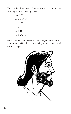This is a list of important Bible verses in this course that you may want to learn by heart.

> Luke 2:52 Matthew 24:35 John 3:26 1 John 1:9 Mark 11:24 Matthew 6:9

When you have completed this booklet, take it to your teacher who will look it over, check your worksheets and return it to you.